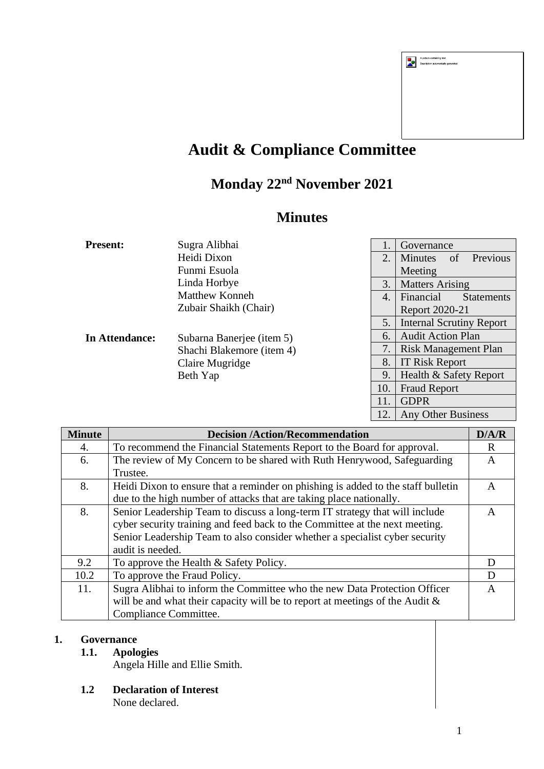| A picture containing text<br>Description automatically generated |
|------------------------------------------------------------------|
|                                                                  |
|                                                                  |
|                                                                  |
|                                                                  |

# **Audit & Compliance Committee**

## **Monday 22nd November 2021**

### **Minutes**

| <b>Present:</b> | Sugra Alibhai                                                                                                  | 1.               | Governance                       |  |
|-----------------|----------------------------------------------------------------------------------------------------------------|------------------|----------------------------------|--|
|                 | Heidi Dixon                                                                                                    | 2.               | Previous<br><b>Minutes</b><br>of |  |
|                 | Funmi Esuola                                                                                                   |                  | Meeting                          |  |
|                 | Linda Horbye                                                                                                   | 3.               | <b>Matters Arising</b>           |  |
|                 | <b>Matthew Konneh</b>                                                                                          | $\overline{4}$ . | Financial<br><b>Statements</b>   |  |
| In Attendance:  | Zubair Shaikh (Chair)<br>Subarna Banerjee (item 5)<br>Shachi Blakemore (item 4)<br>Claire Mugridge<br>Beth Yap |                  | Report 2020-21                   |  |
|                 |                                                                                                                | 5.               | <b>Internal Scrutiny Report</b>  |  |
|                 |                                                                                                                | 6.               | <b>Audit Action Plan</b>         |  |
|                 |                                                                                                                | 7.               | Risk Management Plan             |  |
|                 |                                                                                                                | 8.               | IT Risk Report                   |  |
|                 |                                                                                                                | 9                | Health & Safety Report           |  |
|                 |                                                                                                                | 10.              | <b>Fraud Report</b>              |  |
|                 |                                                                                                                | 11.              | <b>GDPR</b>                      |  |
|                 |                                                                                                                | 12.              | <b>Any Other Business</b>        |  |

| <b>Minute</b> | <b>Decision /Action/Recommendation</b>                                           | D/A/R        |
|---------------|----------------------------------------------------------------------------------|--------------|
| 4.            | To recommend the Financial Statements Report to the Board for approval.          | R            |
| 6.            | The review of My Concern to be shared with Ruth Henrywood, Safeguarding          | A            |
|               | Trustee.                                                                         |              |
| 8.            | Heidi Dixon to ensure that a reminder on phishing is added to the staff bulletin | $\mathsf{A}$ |
|               | due to the high number of attacks that are taking place nationally.              |              |
| 8.            | Senior Leadership Team to discuss a long-term IT strategy that will include      | A            |
|               | cyber security training and feed back to the Committee at the next meeting.      |              |
|               | Senior Leadership Team to also consider whether a specialist cyber security      |              |
|               | audit is needed.                                                                 |              |
| 9.2           | To approve the Health & Safety Policy.                                           | D            |
| 10.2          | To approve the Fraud Policy.                                                     | D            |
| 11.           | Sugra Alibhai to inform the Committee who the new Data Protection Officer        | A            |
|               | will be and what their capacity will be to report at meetings of the Audit $\&$  |              |
|               | <b>Compliance Committee.</b>                                                     |              |

#### **1. Governance**

### **1.1. Apologies**

Angela Hille and Ellie Smith.

- **1.2 Declaration of Interest**
	- None declared.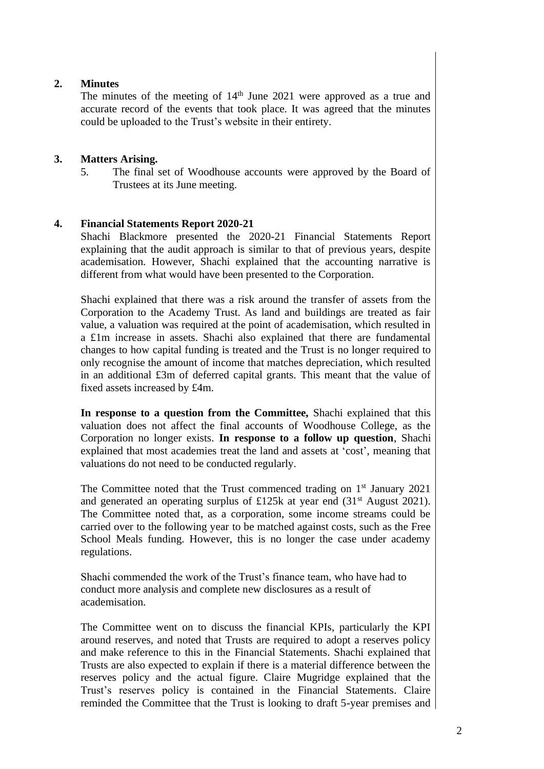#### **2. Minutes**

The minutes of the meeting of 14<sup>th</sup> June 2021 were approved as a true and accurate record of the events that took place. It was agreed that the minutes could be uploaded to the Trust's website in their entirety.

#### **3. Matters Arising.**

5. The final set of Woodhouse accounts were approved by the Board of Trustees at its June meeting.

#### **4. Financial Statements Report 2020-21**

Shachi Blackmore presented the 2020-21 Financial Statements Report explaining that the audit approach is similar to that of previous years, despite academisation. However, Shachi explained that the accounting narrative is different from what would have been presented to the Corporation.

Shachi explained that there was a risk around the transfer of assets from the Corporation to the Academy Trust. As land and buildings are treated as fair value, a valuation was required at the point of academisation, which resulted in a £1m increase in assets. Shachi also explained that there are fundamental changes to how capital funding is treated and the Trust is no longer required to only recognise the amount of income that matches depreciation, which resulted in an additional £3m of deferred capital grants. This meant that the value of fixed assets increased by £4m.

**In response to a question from the Committee,** Shachi explained that this valuation does not affect the final accounts of Woodhouse College, as the Corporation no longer exists. **In response to a follow up question**, Shachi explained that most academies treat the land and assets at 'cost', meaning that valuations do not need to be conducted regularly.

The Committee noted that the Trust commenced trading on 1<sup>st</sup> January 2021 and generated an operating surplus of £125k at year end (31st August 2021). The Committee noted that, as a corporation, some income streams could be carried over to the following year to be matched against costs, such as the Free School Meals funding. However, this is no longer the case under academy regulations.

Shachi commended the work of the Trust's finance team, who have had to conduct more analysis and complete new disclosures as a result of academisation.

The Committee went on to discuss the financial KPIs, particularly the KPI around reserves, and noted that Trusts are required to adopt a reserves policy and make reference to this in the Financial Statements. Shachi explained that Trusts are also expected to explain if there is a material difference between the reserves policy and the actual figure. Claire Mugridge explained that the Trust's reserves policy is contained in the Financial Statements. Claire reminded the Committee that the Trust is looking to draft 5-year premises and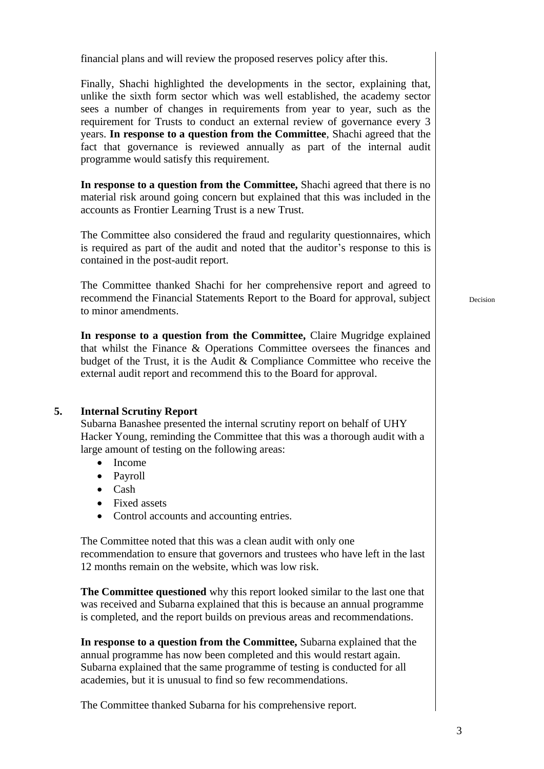financial plans and will review the proposed reserves policy after this.

Finally, Shachi highlighted the developments in the sector, explaining that, unlike the sixth form sector which was well established, the academy sector sees a number of changes in requirements from year to year, such as the requirement for Trusts to conduct an external review of governance every 3 years. **In response to a question from the Committee**, Shachi agreed that the fact that governance is reviewed annually as part of the internal audit programme would satisfy this requirement.

**In response to a question from the Committee,** Shachi agreed that there is no material risk around going concern but explained that this was included in the accounts as Frontier Learning Trust is a new Trust.

The Committee also considered the fraud and regularity questionnaires, which is required as part of the audit and noted that the auditor's response to this is contained in the post-audit report.

The Committee thanked Shachi for her comprehensive report and agreed to recommend the Financial Statements Report to the Board for approval, subject to minor amendments.

**In response to a question from the Committee,** Claire Mugridge explained that whilst the Finance & Operations Committee oversees the finances and budget of the Trust, it is the Audit & Compliance Committee who receive the external audit report and recommend this to the Board for approval.

#### **5. Internal Scrutiny Report**

Subarna Banashee presented the internal scrutiny report on behalf of UHY Hacker Young, reminding the Committee that this was a thorough audit with a large amount of testing on the following areas:

- Income
- Payroll
- Cash
- Fixed assets
- Control accounts and accounting entries.

The Committee noted that this was a clean audit with only one recommendation to ensure that governors and trustees who have left in the last 12 months remain on the website, which was low risk.

**The Committee questioned** why this report looked similar to the last one that was received and Subarna explained that this is because an annual programme is completed, and the report builds on previous areas and recommendations.

**In response to a question from the Committee,** Subarna explained that the annual programme has now been completed and this would restart again. Subarna explained that the same programme of testing is conducted for all academies, but it is unusual to find so few recommendations.

The Committee thanked Subarna for his comprehensive report.

Decision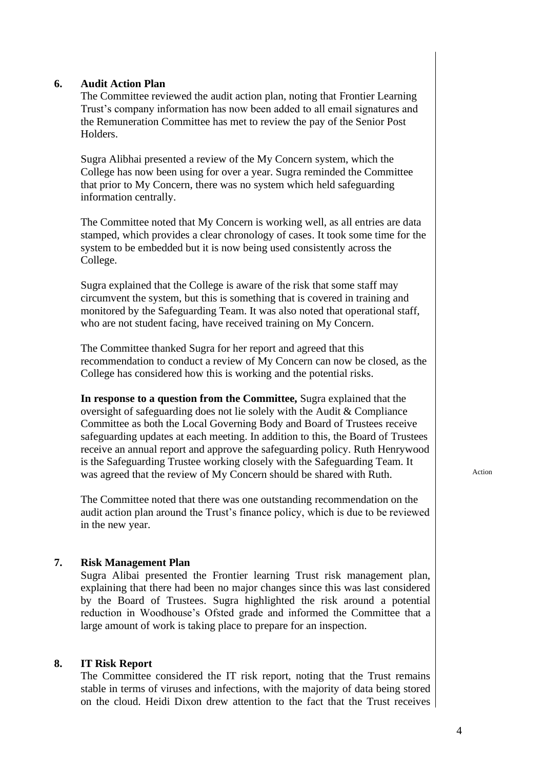#### **6. Audit Action Plan**

The Committee reviewed the audit action plan, noting that Frontier Learning Trust's company information has now been added to all email signatures and the Remuneration Committee has met to review the pay of the Senior Post Holders.

Sugra Alibhai presented a review of the My Concern system, which the College has now been using for over a year. Sugra reminded the Committee that prior to My Concern, there was no system which held safeguarding information centrally.

The Committee noted that My Concern is working well, as all entries are data stamped, which provides a clear chronology of cases. It took some time for the system to be embedded but it is now being used consistently across the College.

Sugra explained that the College is aware of the risk that some staff may circumvent the system, but this is something that is covered in training and monitored by the Safeguarding Team. It was also noted that operational staff, who are not student facing, have received training on My Concern.

The Committee thanked Sugra for her report and agreed that this recommendation to conduct a review of My Concern can now be closed, as the College has considered how this is working and the potential risks.

**In response to a question from the Committee,** Sugra explained that the oversight of safeguarding does not lie solely with the Audit & Compliance Committee as both the Local Governing Body and Board of Trustees receive safeguarding updates at each meeting. In addition to this, the Board of Trustees receive an annual report and approve the safeguarding policy. Ruth Henrywood is the Safeguarding Trustee working closely with the Safeguarding Team. It was agreed that the review of My Concern should be shared with Ruth. Action

The Committee noted that there was one outstanding recommendation on the audit action plan around the Trust's finance policy, which is due to be reviewed in the new year.

#### **7. Risk Management Plan**

Sugra Alibai presented the Frontier learning Trust risk management plan, explaining that there had been no major changes since this was last considered by the Board of Trustees. Sugra highlighted the risk around a potential reduction in Woodhouse's Ofsted grade and informed the Committee that a large amount of work is taking place to prepare for an inspection.

#### **8. IT Risk Report**

The Committee considered the IT risk report, noting that the Trust remains stable in terms of viruses and infections, with the majority of data being stored on the cloud. Heidi Dixon drew attention to the fact that the Trust receives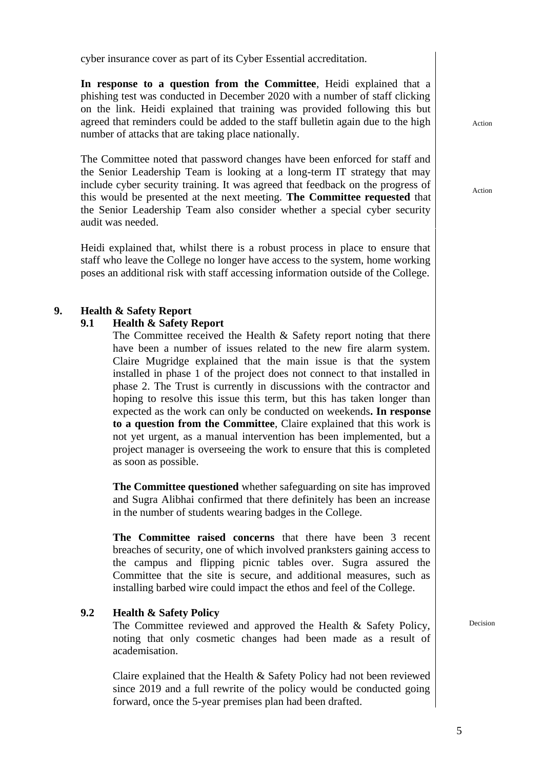cyber insurance cover as part of its Cyber Essential accreditation.

**In response to a question from the Committee**, Heidi explained that a phishing test was conducted in December 2020 with a number of staff clicking on the link. Heidi explained that training was provided following this but agreed that reminders could be added to the staff bulletin again due to the high number of attacks that are taking place nationally.

The Committee noted that password changes have been enforced for staff and the Senior Leadership Team is looking at a long-term IT strategy that may include cyber security training. It was agreed that feedback on the progress of this would be presented at the next meeting. **The Committee requested** that the Senior Leadership Team also consider whether a special cyber security audit was needed.

Heidi explained that, whilst there is a robust process in place to ensure that staff who leave the College no longer have access to the system, home working poses an additional risk with staff accessing information outside of the College.

#### **9. Health & Safety Report**

#### **9.1 Health & Safety Report**

The Committee received the Health & Safety report noting that there have been a number of issues related to the new fire alarm system. Claire Mugridge explained that the main issue is that the system installed in phase 1 of the project does not connect to that installed in phase 2. The Trust is currently in discussions with the contractor and hoping to resolve this issue this term, but this has taken longer than expected as the work can only be conducted on weekends**. In response to a question from the Committee**, Claire explained that this work is not yet urgent, as a manual intervention has been implemented, but a project manager is overseeing the work to ensure that this is completed as soon as possible.

**The Committee questioned** whether safeguarding on site has improved and Sugra Alibhai confirmed that there definitely has been an increase in the number of students wearing badges in the College.

**The Committee raised concerns** that there have been 3 recent breaches of security, one of which involved pranksters gaining access to the campus and flipping picnic tables over. Sugra assured the Committee that the site is secure, and additional measures, such as installing barbed wire could impact the ethos and feel of the College.

#### **9.2 Health & Safety Policy**

The Committee reviewed and approved the Health & Safety Policy, noting that only cosmetic changes had been made as a result of academisation.

Claire explained that the Health & Safety Policy had not been reviewed since 2019 and a full rewrite of the policy would be conducted going forward, once the 5-year premises plan had been drafted.

Decision

Action

Action